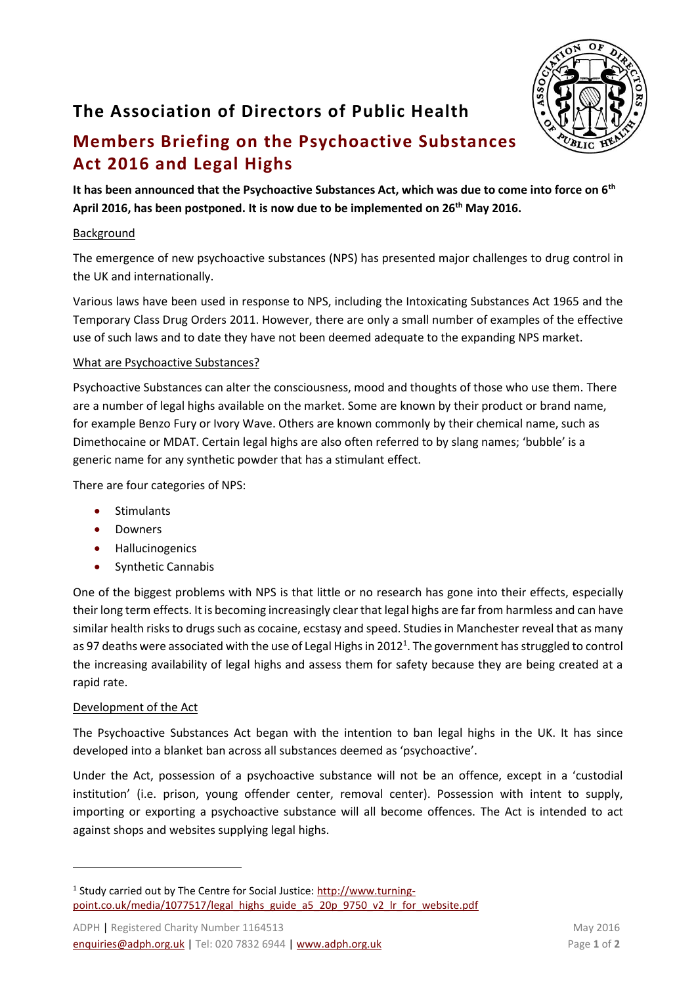# **The Association of Directors of Public Health**



## **Members Briefing on the Psychoactive Substances Act 2016 and Legal Highs**

**It has been announced that the Psychoactive Substances Act, which was due to come into force on 6th April 2016, has been postponed. It is now due to be implemented on 26th May 2016.** 

### **Background**

The emergence of new psychoactive substances (NPS) has presented major challenges to drug control in the UK and internationally.

Various laws have been used in response to NPS, including the Intoxicating Substances Act 1965 and the Temporary Class Drug Orders 2011. However, there are only a small number of examples of the effective use of such laws and to date they have not been deemed adequate to the expanding NPS market.

#### What are Psychoactive Substances?

Psychoactive Substances can alter the consciousness, mood and thoughts of those who use them. There are a number of legal highs available on the market. Some are known by their product or brand name, for example Benzo Fury or Ivory Wave. Others are known commonly by their chemical name, such as Dimethocaine or MDAT. Certain legal highs are also often referred to by slang names; 'bubble' is a generic name for any synthetic powder that has a stimulant effect.

There are four categories of NPS:

- Stimulants
- Downers
- Hallucinogenics
- Synthetic Cannabis

One of the biggest problems with NPS is that little or no research has gone into their effects, especially their long term effects. It is becoming increasingly clear that legal highs are far from harmless and can have similar health risks to drugs such as cocaine, ecstasy and speed. Studies in Manchester reveal that as many as 97 deaths were associated with the use of Legal Highs in 2012<sup>1</sup>. The government has struggled to control the increasing availability of legal highs and assess them for safety because they are being created at a rapid rate.

## Development of the Act

 $\overline{a}$ 

The Psychoactive Substances Act began with the intention to ban legal highs in the UK. It has since developed into a blanket ban across all substances deemed as 'psychoactive'.

Under the Act, possession of a psychoactive substance will not be an offence, except in a 'custodial institution' (i.e. prison, young offender center, removal center). Possession with intent to supply, importing or exporting a psychoactive substance will all become offences. The Act is intended to act against shops and websites supplying legal highs.

<sup>&</sup>lt;sup>1</sup> Study carried out by The Centre for Social Justice: [http://www.turning](http://www.turning-point.co.uk/media/1077517/legal_highs_guide_a5_20p_9750_v2_lr_for_website.pdf)[point.co.uk/media/1077517/legal\\_highs\\_guide\\_a5\\_20p\\_9750\\_v2\\_lr\\_for\\_website.pdf](http://www.turning-point.co.uk/media/1077517/legal_highs_guide_a5_20p_9750_v2_lr_for_website.pdf)